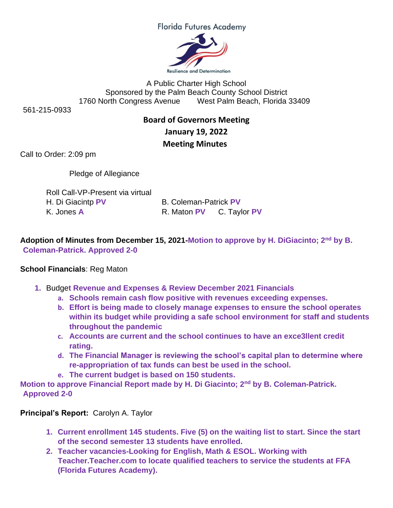**Florida Futures Academy** 



A Public Charter High School Sponsored by the Palm Beach County School District 1760 North Congress Avenue West Palm Beach, Florida 33409

561-215-0933

## **Board of Governors Meeting January 19, 2022 Meeting Minutes**

Call to Order: 2:09 pm

Pledge of Allegiance

| Roll Call-VP-Present via virtual |                              |  |
|----------------------------------|------------------------------|--|
| H. Di Giacintp PV                | <b>B. Coleman-Patrick PV</b> |  |
| K. Jones A                       | R. Maton PV C. Tayl          |  |

**Adoption of Minutes from December 15, 2021-Motion to approve by H. DiGiacinto; 2nd by B. Coleman-Patrick. Approved 2-0**

## **School Financials**: Reg Maton

- **1.** Budge**t Revenue and Expenses & Review December 2021 Financials**
	- **a. Schools remain cash flow positive with revenues exceeding expenses.**
	- **b. Effort is being made to closely manage expenses to ensure the school operates within its budget while providing a safe school environment for staff and students throughout the pandemic**

**C.** Taylor **PV** 

- **c. Accounts are current and the school continues to have an exce3llent credit rating.**
- **d. The Financial Manager is reviewing the school's capital plan to determine where re-appropriation of tax funds can best be used in the school.**
- **e. The current budget is based on 150 students.**

**Motion to approve Financial Report made by H. Di Giacinto; 2nd by B. Coleman-Patrick. Approved 2-0**

**Principal's Report:** Carolyn A. Taylor

- **1. Current enrollment 145 students. Five (5) on the waiting list to start. Since the start of the second semester 13 students have enrolled.**
- **2. Teacher vacancies-Looking for English, Math & ESOL. Working with Teacher.Teacher.com to locate qualified teachers to service the students at FFA (Florida Futures Academy).**